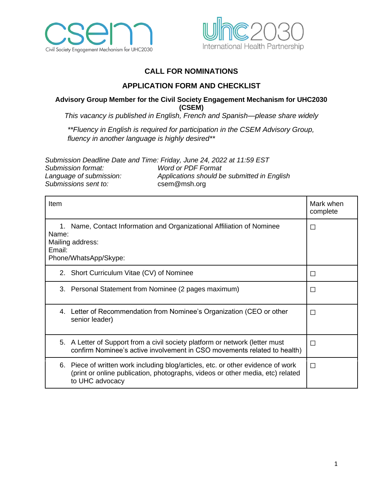



# **CALL FOR NOMINATIONS**

# **APPLICATION FORM AND CHECKLIST**

#### **Advisory Group Member for the Civil Society Engagement Mechanism for UHC2030 (CSEM)**

*This vacancy is published in English, French and Spanish—please share widely*

*\*\*Fluency in English is required for participation in the CSEM Advisory Group, fluency in another language is highly desired\*\**

|                         | Submission Deadline Date and Time: Friday, June 24, 2022 at 11:59 EST |
|-------------------------|-----------------------------------------------------------------------|
| Submission format:      | <b>Word or PDF Format</b>                                             |
| Language of submission: | Applications should be submitted in English                           |
| Submissions sent to:    | csem@msh.org                                                          |

| Item                                                                                                                                                                                  | Mark when<br>complete |
|---------------------------------------------------------------------------------------------------------------------------------------------------------------------------------------|-----------------------|
| Name, Contact Information and Organizational Affiliation of Nominee<br>1.<br>Name:<br>Mailing address:<br>Email:<br>Phone/WhatsApp/Skype:                                             | $\Box$                |
| 2. Short Curriculum Vitae (CV) of Nominee                                                                                                                                             | $\Box$                |
| 3. Personal Statement from Nominee (2 pages maximum)                                                                                                                                  | □                     |
| 4. Letter of Recommendation from Nominee's Organization (CEO or other<br>senior leader)                                                                                               | П                     |
| 5. A Letter of Support from a civil society platform or network (letter must<br>confirm Nominee's active involvement in CSO movements related to health)                              | П                     |
| 6. Piece of written work including blog/articles, etc. or other evidence of work<br>(print or online publication, photographs, videos or other media, etc) related<br>to UHC advocacy | П                     |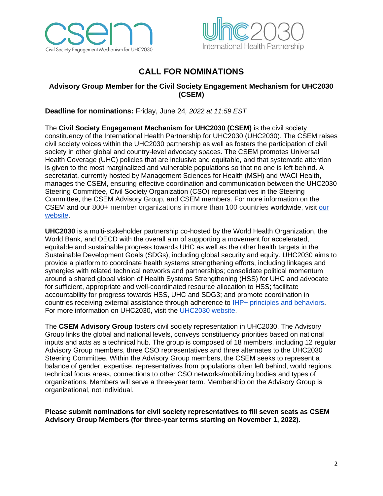



# **CALL FOR NOMINATIONS**

## **Advisory Group Member for the Civil Society Engagement Mechanism for UHC2030 (CSEM)**

**Deadline for nominations:** Friday, June 24*, 2022 at 11:59 EST*

The **Civil Society Engagement Mechanism for UHC2030 (CSEM)** is the civil society constituency of the International Health Partnership for UHC2030 (UHC2030). The CSEM raises civil society voices within the UHC2030 partnership as well as fosters the participation of civil society in other global and country-level advocacy spaces. The CSEM promotes Universal Health Coverage (UHC) policies that are inclusive and equitable, and that systematic attention is given to the most marginalized and vulnerable populations so that no one is left behind. A secretariat, currently hosted by Management Sciences for Health (MSH) and WACI Health, manages the CSEM, ensuring effective coordination and communication between the UHC2030 Steering Committee, Civil Society Organization (CSO) representatives in the Steering Committee, the CSEM Advisory Group, and CSEM members. For more information on the CSEM and our 800+ member organizations in more than 100 countries worldwide, visit [our](https://csemonline.net/)  [website.](https://csemonline.net/)

**UHC2030** is a multi-stakeholder partnership co-hosted by the World Health Organization, the World Bank, and OECD with the overall aim of supporting a movement for accelerated, equitable and sustainable progress towards UHC as well as the other health targets in the Sustainable Development Goals (SDGs), including global security and equity. UHC2030 aims to provide a platform to coordinate health systems strengthening efforts, including linkages and synergies with related technical networks and partnerships; consolidate political momentum around a shared global vision of Health Systems Strengthening (HSS) for UHC and advocate for sufficient, appropriate and well-coordinated resource allocation to HSS; facilitate accountability for progress towards HSS, UHC and SDG3; and promote coordination in countries receiving external assistance through adherence to [IHP+ principles and behaviors.](https://www.uhc2030.org/about-us/history/) For more information on UHC2030, visit the [UHC2030 website.](https://www.uhc2030.org/)

The **CSEM Advisory Group** fosters civil society representation in UHC2030. The Advisory Group links the global and national levels, conveys constituency priorities based on national inputs and acts as a technical hub. The group is composed of 18 members, including 12 regular Advisory Group members, three CSO representatives and three alternates to the UHC2030 Steering Committee. Within the Advisory Group members, the CSEM seeks to represent a balance of gender, expertise, representatives from populations often left behind, world regions, technical focus areas, connections to other CSO networks/mobilizing bodies and types of organizations. Members will serve a three-year term. Membership on the Advisory Group is organizational, not individual.

**Please submit nominations for civil society representatives to fill seven seats as CSEM Advisory Group Members (for three-year terms starting on November 1, 2022).**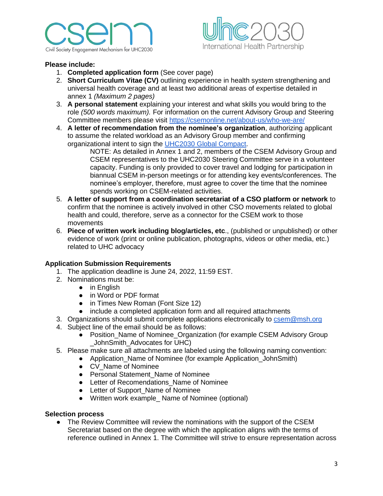



#### **Please include:**

- 1. **Completed application form** (See cover page)
- 2. **Short Curriculum Vitae (CV)** outlining experience in health system strengthening and universal health coverage and at least two additional areas of expertise detailed in annex 1 *(Maximum 2 pages)*
- 3. **A personal statement** explaining your interest and what skills you would bring to the role *(500 words maximum).* For information on the current Advisory Group and Steering Committee members please visit<https://csemonline.net/about-us/who-we-are/>
- 4. **A letter of recommendation from the nominee's organization**, authorizing applicant to assume the related workload as an Advisory Group member and confirming organizational intent to sign the [UHC2030 Global Compact.](https://www.uhc2030.org/our-mission/global-compact/)

NOTE: As detailed in Annex 1 and 2, members of the CSEM Advisory Group and CSEM representatives to the UHC2030 Steering Committee serve in a volunteer capacity. Funding is only provided to cover travel and lodging for participation in biannual CSEM in-person meetings or for attending key events/conferences. The nominee's employer, therefore, must agree to cover the time that the nominee spends working on CSEM-related activities.

- 5. **A letter of support from a coordination secretariat of a CSO platform or network** to confirm that the nominee is actively involved in other CSO movements related to global health and could, therefore, serve as a connector for the CSEM work to those movements
- 6. **Piece of written work including blog/articles, etc**., (published or unpublished) or other evidence of work (print or online publication, photographs, videos or other media, etc.) related to UHC advocacy

#### **Application Submission Requirements**

- 1. The application deadline is June 24, 2022, 11:59 EST.
- 2. Nominations must be:
	- in English
	- in Word or PDF format
	- in Times New Roman (Font Size 12)
	- include a completed application form and all required attachments
- 3. Organizations should submit complete applications electronically to [csem@msh.org](mailto:csem@msh.org)
- 4. Subject line of the email should be as follows:
	- Position Name of Nominee Organization (for example CSEM Advisory Group JohnSmith\_Advocates for UHC)
- 5. Please make sure all attachments are labeled using the following naming convention:
	- Application\_Name of Nominee (for example Application\_JohnSmith)
		- CV\_Name of Nominee
		- Personal Statement Name of Nominee
		- Letter of Recomendations Name of Nominee
		- Letter of Support Name of Nominee
		- Written work example Name of Nominee (optional)

#### **Selection process**

• The Review Committee will review the nominations with the support of the CSEM Secretariat based on the degree with which the application aligns with the terms of reference outlined in Annex 1. The Committee will strive to ensure representation across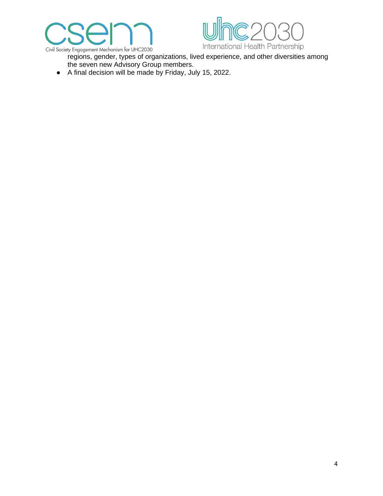



- regions, gender, types of organizations, lived experience, and other diversities among the seven new Advisory Group members.
- A final decision will be made by Friday, July 15, 2022.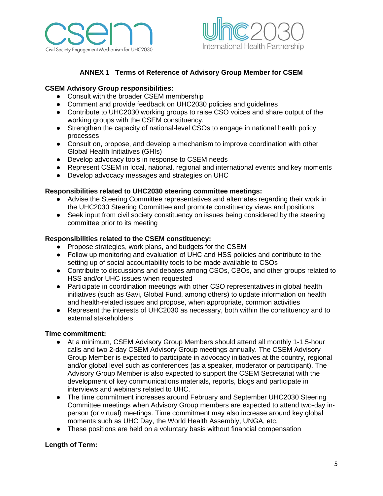



## **ANNEX 1 Terms of Reference of Advisory Group Member for CSEM**

## **CSEM Advisory Group responsibilities:**

- Consult with the broader CSEM membership
- Comment and provide feedback on UHC2030 policies and guidelines
- Contribute to UHC2030 working groups to raise CSO voices and share output of the working groups with the CSEM constituency.
- Strengthen the capacity of national-level CSOs to engage in national health policy processes
- Consult on, propose, and develop a mechanism to improve coordination with other Global Health Initiatives (GHIs)
- Develop advocacy tools in response to CSEM needs
- Represent CSEM in local, national, regional and international events and key moments
- Develop advocacy messages and strategies on UHC

#### **Responsibilities related to UHC2030 steering committee meetings:**

- Advise the Steering Committee representatives and alternates regarding their work in the UHC2030 Steering Committee and promote constituency views and positions
- Seek input from civil society constituency on issues being considered by the steering committee prior to its meeting

#### **Responsibilities related to the CSEM constituency:**

- Propose strategies, work plans, and budgets for the CSEM
- Follow up monitoring and evaluation of UHC and HSS policies and contribute to the setting up of social accountability tools to be made available to CSOs
- Contribute to discussions and debates among CSOs, CBOs, and other groups related to HSS and/or UHC issues when requested
- Participate in coordination meetings with other CSO representatives in global health initiatives (such as Gavi, Global Fund, among others) to update information on health and health-related issues and propose, when appropriate, common activities
- Represent the interests of UHC2030 as necessary, both within the constituency and to external stakeholders

#### **Time commitment:**

- At a minimum, CSEM Advisory Group Members should attend all monthly 1-1.5-hour calls and two 2-day CSEM Advisory Group meetings annually. The CSEM Advisory Group Member is expected to participate in advocacy initiatives at the country, regional and/or global level such as conferences (as a speaker, moderator or participant). The Advisory Group Member is also expected to support the CSEM Secretariat with the development of key communications materials, reports, blogs and participate in interviews and webinars related to UHC.
- The time commitment increases around February and September UHC2030 Steering Committee meetings when Advisory Group members are expected to attend two-day inperson (or virtual) meetings. Time commitment may also increase around key global moments such as UHC Day, the World Health Assembly, UNGA, etc.
- These positions are held on a voluntary basis without financial compensation

#### **Length of Term:**